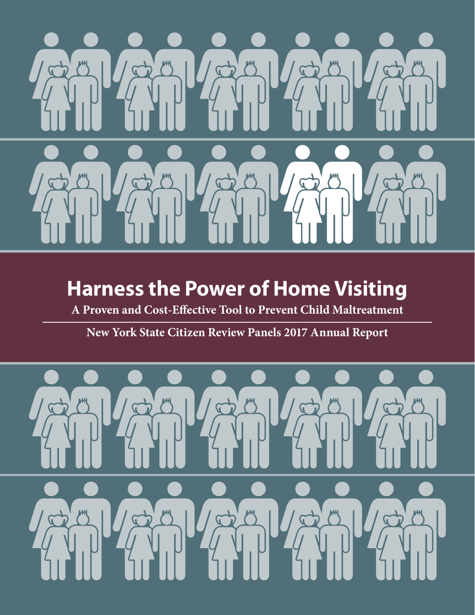

# **Harness the Power of Home Visiting**

**A Proven and Cost-Effective Tool to Prevent Child Maltreatment**

**New York State Citizen Review Panels 2017 Annual Report**

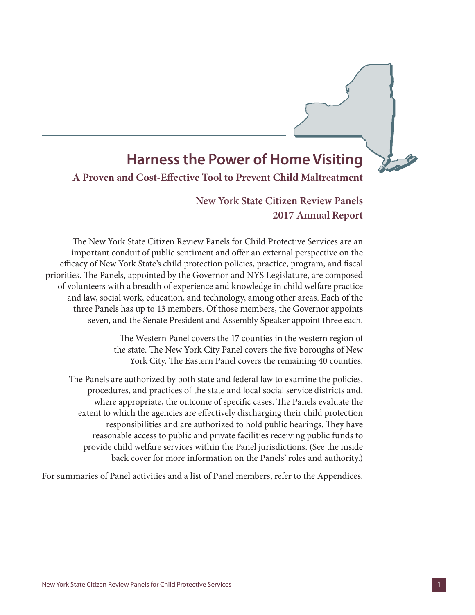# **Harness the Power of Home Visiting**

### **A Proven and Cost-Effective Tool to Prevent Child Maltreatment**

**New York State Citizen Review Panels 2017 Annual Report**

The New York State Citizen Review Panels for Child Protective Services are an important conduit of public sentiment and offer an external perspective on the efficacy of New York State's child protection policies, practice, program, and fiscal priorities. The Panels, appointed by the Governor and NYS Legislature, are composed of volunteers with a breadth of experience and knowledge in child welfare practice and law, social work, education, and technology, among other areas. Each of the three Panels has up to 13 members. Of those members, the Governor appoints seven, and the Senate President and Assembly Speaker appoint three each.

> The Western Panel covers the 17 counties in the western region of the state. The New York City Panel covers the five boroughs of New York City. The Eastern Panel covers the remaining 40 counties.

The Panels are authorized by both state and federal law to examine the policies, procedures, and practices of the state and local social service districts and, where appropriate, the outcome of specific cases. The Panels evaluate the extent to which the agencies are effectively discharging their child protection responsibilities and are authorized to hold public hearings. They have reasonable access to public and private facilities receiving public funds to provide child welfare services within the Panel jurisdictions. (See the inside back cover for more information on the Panels' roles and authority.)

For summaries of Panel activities and a list of Panel members, refer to the Appendices.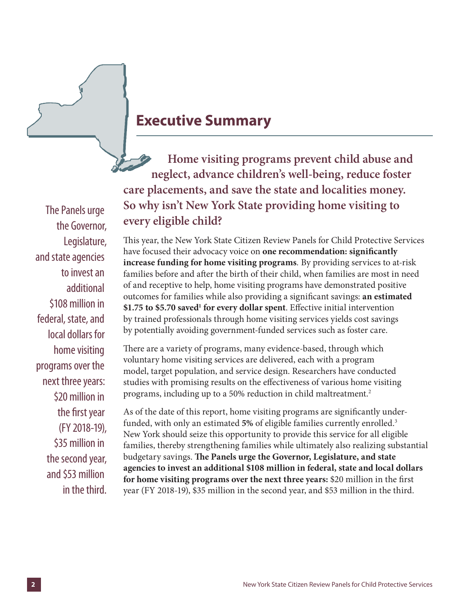

# **Executive Summary**

**Home visiting programs prevent child abuse and neglect, advance children's well-being, reduce foster care placements, and save the state and localities money. So why isn't New York State providing home visiting to every eligible child?**

This year, the New York State Citizen Review Panels for Child Protective Services have focused their advocacy voice on **one recommendation: significantly increase funding for home visiting programs***.* By providing services to at-risk families before and after the birth of their child, when families are most in need of and receptive to help, home visiting programs have demonstrated positive outcomes for families while also providing a significant savings: **an estimated**  \$1.75 to \$5.70 saved<sup>1</sup> for every dollar spent. Effective initial intervention by trained professionals through home visiting services yields cost savings by potentially avoiding government-funded services such as foster care.

There are a variety of programs, many evidence-based, through which voluntary home visiting services are delivered, each with a program model, target population, and service design. Researchers have conducted studies with promising results on the effectiveness of various home visiting programs, including up to a 50% reduction in child maltreatment.<sup>2</sup>

As of the date of this report, home visiting programs are significantly underfunded, with only an estimated **5%** of eligible families currently enrolled.3 New York should seize this opportunity to provide this service for all eligible families, thereby strengthening families while ultimately also realizing substantial budgetary savings. **The Panels urge the Governor, Legislature, and state agencies to invest an additional \$108 million in federal, state and local dollars for home visiting programs over the next three years:** \$20 million in the first year (FY 2018-19), \$35 million in the second year, and \$53 million in the third.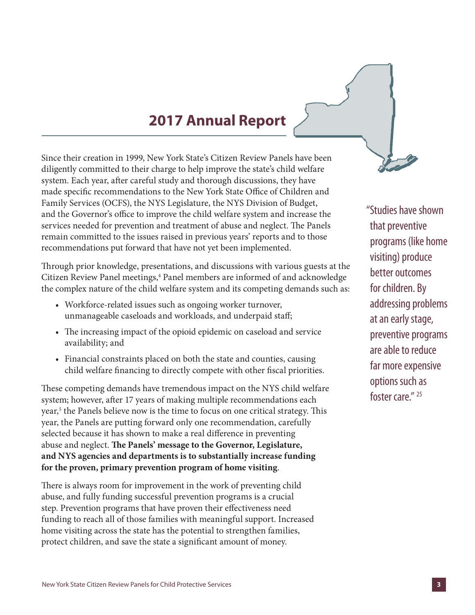# **2017 Annual Report**

Since their creation in 1999, New York State's Citizen Review Panels have been diligently committed to their charge to help improve the state's child welfare system. Each year, after careful study and thorough discussions, they have made specific recommendations to the New York State Office of Children and Family Services (OCFS), the NYS Legislature, the NYS Division of Budget, and the Governor's office to improve the child welfare system and increase the services needed for prevention and treatment of abuse and neglect. The Panels remain committed to the issues raised in previous years' reports and to those recommendations put forward that have not yet been implemented.

Through prior knowledge, presentations, and discussions with various guests at the Citizen Review Panel meetings,<sup>4</sup> Panel members are informed of and acknowledge the complex nature of the child welfare system and its competing demands such as:

- Workforce-related issues such as ongoing worker turnover, unmanageable caseloads and workloads, and underpaid staff;
- The increasing impact of the opioid epidemic on caseload and service availability; and
- Financial constraints placed on both the state and counties, causing child welfare financing to directly compete with other fiscal priorities.

These competing demands have tremendous impact on the NYS child welfare system; however, after 17 years of making multiple recommendations each year,<sup>5</sup> the Panels believe now is the time to focus on one critical strategy. This year, the Panels are putting forward only one recommendation, carefully selected because it has shown to make a real difference in preventing abuse and neglect. **The Panels' message to the Governor, Legislature, and NYS agencies and departments is to substantially increase funding for the proven, primary prevention program of home visiting**.

There is always room for improvement in the work of preventing child abuse, and fully funding successful prevention programs is a crucial step. Prevention programs that have proven their effectiveness need funding to reach all of those families with meaningful support. Increased home visiting across the state has the potential to strengthen families, protect children, and save the state a significant amount of money.

"Studies have shown that preventive programs (like home visiting) produce better outcomes for children. By addressing problems at an early stage, preventive programs are able to reduce far more expensive options such as foster care." 25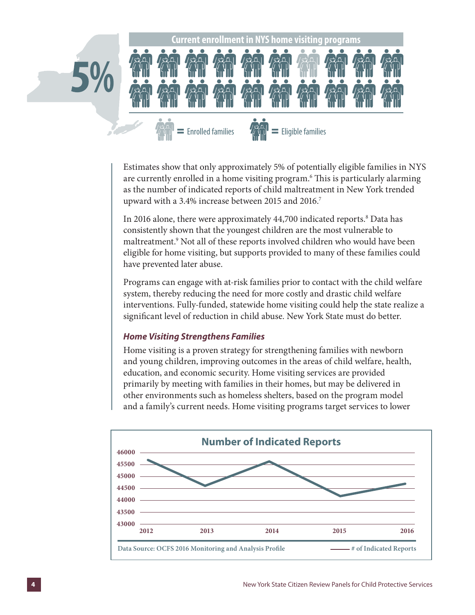

Estimates show that only approximately 5% of potentially eligible families in NYS are currently enrolled in a home visiting program.6 This is particularly alarming as the number of indicated reports of child maltreatment in New York trended upward with a 3.4% increase between 2015 and 2016.<sup>7</sup>

In 2016 alone, there were approximately 44,700 indicated reports.<sup>8</sup> Data has consistently shown that the youngest children are the most vulnerable to maltreatment.<sup>9</sup> Not all of these reports involved children who would have been eligible for home visiting, but supports provided to many of these families could have prevented later abuse.

Programs can engage with at-risk families prior to contact with the child welfare system, thereby reducing the need for more costly and drastic child welfare interventions. Fully-funded, statewide home visiting could help the state realize a significant level of reduction in child abuse. New York State must do better.

#### *Home Visiting Strengthens Families*

Home visiting is a proven strategy for strengthening families with newborn and young children, improving outcomes in the areas of child welfare, health, education, and economic security. Home visiting services are provided primarily by meeting with families in their homes, but may be delivered in other environments such as homeless shelters, based on the program model and a family's current needs. Home visiting programs target services to lower

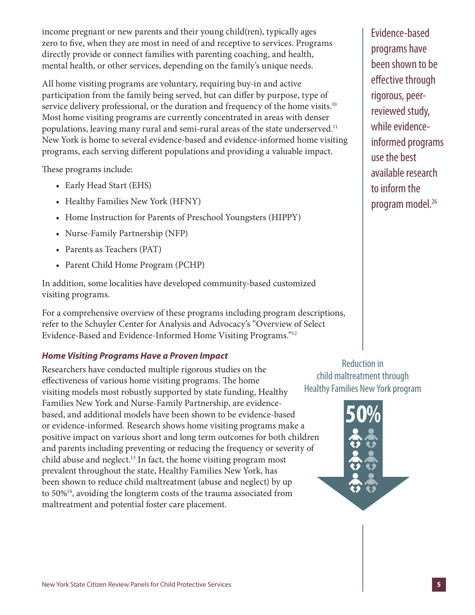income pregnant or new parents and their young child(ren), typically ages zero to five, when they are most in need of and receptive to services. Programs directly provide or connect families with parenting coaching, and health, mental health, or other services, depending on the family's unique needs.

All home visiting programs are voluntary, requiring buy-in and active participation from the family being served, but can differ by purpose, type of service delivery professional, or the duration and frequency of the home visits.<sup>10</sup> Most home visiting programs are currently concentrated in areas with denser populations, leaving many rural and semi-rural areas of the state underserved.<sup>11</sup> New York is home to several evidence-based and evidence-informed home visiting programs, each serving different populations and providing a valuable impact.

These programs include:

- Early Head Start (EHS)
- Healthy Families New York (HFNY)
- Home Instruction for Parents of Preschool Youngsters (HIPPY)
- Nurse-Family Partnership (NFP)
- Parents as Teachers (PAT)
- Parent Child Home Program (PCHP)

In addition, some localities have developed community-based customized visiting programs.

For a comprehensive overview of these programs including program descriptions, refer to the Schuyler Center for Analysis and Advocacy's "Overview of Select Evidence-Based and Evidence-Informed Home Visiting Programs."12

### *Home Visiting Programs Have a Proven Impact*

Researchers have conducted multiple rigorous studies on the effectiveness of various home visiting programs. The home visiting models most robustly supported by state funding, Healthy Families New York and Nurse-Family Partnership, are evidencebased, and additional models have been shown to be evidence-based or evidence-informed. Research shows home visiting programs make a positive impact on various short and long term outcomes for both children and parents including preventing or reducing the frequency or severity of child abuse and neglect.13 In fact, the home visiting program most prevalent throughout the state, Healthy Families New York, has been shown to reduce child maltreatment (abuse and neglect) by up to 50%14, avoiding the longterm costs of the trauma associated from maltreatment and potential foster care placement.

Evidence-based programs have been shown to be effective through rigorous, peerreviewed study, while evidenceinformed programs use the best available research to inform the program model.<sup>26</sup>

Reduction in child maltreatment through Healthy Families New York program

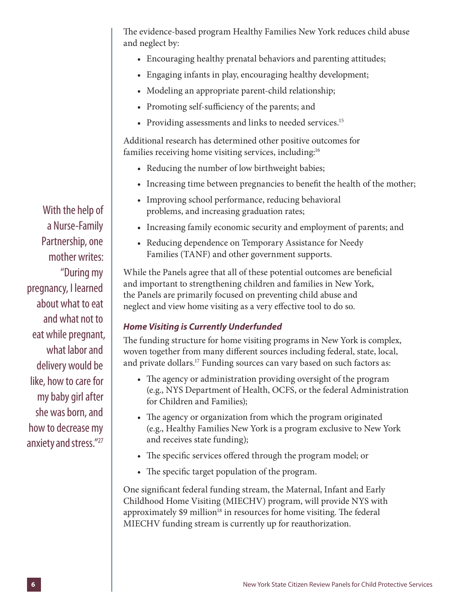The evidence-based program Healthy Families New York reduces child abuse and neglect by:

- Encouraging healthy prenatal behaviors and parenting attitudes;
- Engaging infants in play, encouraging healthy development;
- Modeling an appropriate parent-child relationship;
- Promoting self-sufficiency of the parents; and
- Providing assessments and links to needed services.<sup>15</sup>

Additional research has determined other positive outcomes for families receiving home visiting services, including:<sup>16</sup>

- Reducing the number of low birthweight babies;
- Increasing time between pregnancies to benefit the health of the mother;
- Improving school performance, reducing behavioral problems, and increasing graduation rates;
- Increasing family economic security and employment of parents; and
- Reducing dependence on Temporary Assistance for Needy Families (TANF) and other government supports.

While the Panels agree that all of these potential outcomes are beneficial and important to strengthening children and families in New York, the Panels are primarily focused on preventing child abuse and neglect and view home visiting as a very effective tool to do so.

## *Home Visiting is Currently Underfunded*

The funding structure for home visiting programs in New York is complex, woven together from many different sources including federal, state, local, and private dollars.<sup>17</sup> Funding sources can vary based on such factors as:

- The agency or administration providing oversight of the program (e.g., NYS Department of Health, OCFS, or the federal Administration for Children and Families);
- The agency or organization from which the program originated (e.g., Healthy Families New York is a program exclusive to New York and receives state funding);
- The specific services offered through the program model; or
- The specific target population of the program.

One significant federal funding stream, the Maternal, Infant and Early Childhood Home Visiting (MIECHV) program, will provide NYS with approximately  $$9$  million<sup>18</sup> in resources for home visiting. The federal MIECHV funding stream is currently up for reauthorization.

With the help of a Nurse-Family Partnership, one mother writes: "During my pregnancy, I learned about what to eat and what not to eat while pregnant, what labor and delivery would be like, how to care for my baby girl after she was born, and how to decrease my anxiety and stress."27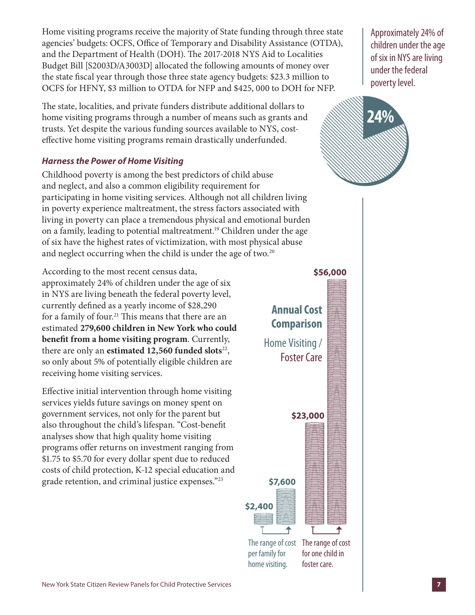Home visiting programs receive the majority of State funding through three state agencies' budgets: OCFS, Office of Temporary and Disability Assistance (OTDA), and the Department of Health (DOH). The 2017-2018 NYS Aid to Localities Budget Bill [S2003D/A3003D] allocated the following amounts of money over the state fiscal year through those three state agency budgets: \$23.3 million to OCFS for HFNY, \$3 million to OTDA for NFP and \$425, 000 to DOH for NFP.

The state, localities, and private funders distribute additional dollars to home visiting programs through a number of means such as grants and trusts. Yet despite the various funding sources available to NYS, costeffective home visiting programs remain drastically underfunded.

### *Harness the Power of Home Visiting*

Childhood poverty is among the best predictors of child abuse and neglect, and also a common eligibility requirement for participating in home visiting services. Although not all children living in poverty experience maltreatment, the stress factors associated with living in poverty can place a tremendous physical and emotional burden on a family, leading to potential maltreatment.19 Children under the age of six have the highest rates of victimization, with most physical abuse and neglect occurring when the child is under the age of two.<sup>20</sup>

According to the most recent census data, approximately 24% of children under the age of six in NYS are living beneath the federal poverty level, currently defined as a yearly income of \$28,290 for a family of four.<sup>21</sup> This means that there are an estimated **279,600 children in New York who could benefit from a home visiting program**. Currently, there are only an **estimated 12,560 funded slots**<sup>22</sup>, so only about 5% of potentially eligible children are receiving home visiting services.

Effective initial intervention through home visiting services yields future savings on money spent on government services, not only for the parent but also throughout the child's lifespan. "Cost-benefit analyses show that high quality home visiting programs offer returns on investment ranging from \$1.75 to \$5.70 for every dollar spent due to reduced costs of child protection, K-12 special education and grade retention, and criminal justice expenses."23

Approximately 24% of children under the age of six in NYS are living under the federal poverty level.



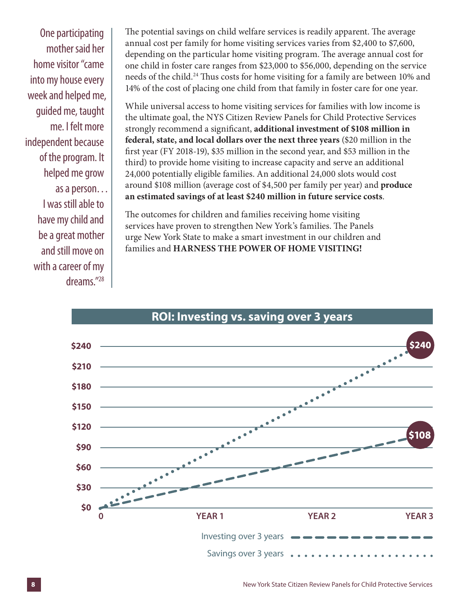One participating mother said her home visitor "came into my house every week and helped me, guided me, taught me. I felt more independent because of the program. It helped me grow as a person… I was still able to have my child and be a great mother and still move on with a career of my dreams."28

The potential savings on child welfare services is readily apparent. The average annual cost per family for home visiting services varies from \$2,400 to \$7,600, depending on the particular home visiting program. The average annual cost for one child in foster care ranges from \$23,000 to \$56,000, depending on the service needs of the child.24 Thus costs for home visiting for a family are between 10% and 14% of the cost of placing one child from that family in foster care for one year.

While universal access to home visiting services for families with low income is the ultimate goal, the NYS Citizen Review Panels for Child Protective Services strongly recommend a significant, **additional investment of \$108 million in federal, state, and local dollars over the next three years** (\$20 million in the first year (FY 2018-19), \$35 million in the second year, and \$53 million in the third) to provide home visiting to increase capacity and serve an additional 24,000 potentially eligible families. An additional 24,000 slots would cost around \$108 million (average cost of \$4,500 per family per year) and **produce an estimated savings of at least \$240 million in future service costs**.

The outcomes for children and families receiving home visiting services have proven to strengthen New York's families. The Panels urge New York State to make a smart investment in our children and families and **HARNESS THE POWER OF HOME VISITING!**



## **ROI: Investing vs. saving over 3 years**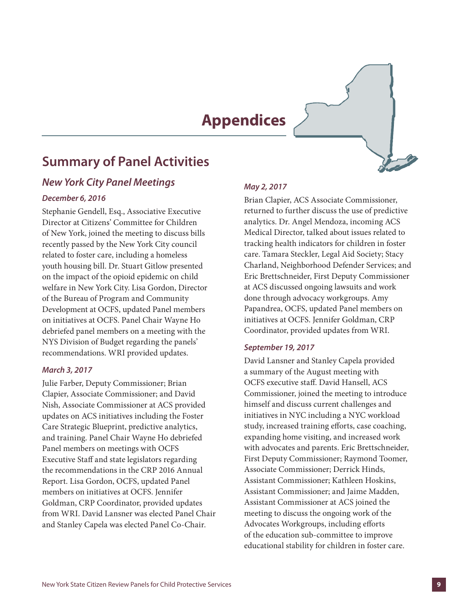# **Appendices**

# **Summary of Panel Activities**

### *New York City Panel Meetings*

#### *December 6, 2016*

Stephanie Gendell, Esq., Associative Executive Director at Citizens' Committee for Children of New York, joined the meeting to discuss bills recently passed by the New York City council related to foster care, including a homeless youth housing bill. Dr. Stuart Gitlow presented on the impact of the opioid epidemic on child welfare in New York City. Lisa Gordon, Director of the Bureau of Program and Community Development at OCFS, updated Panel members on initiatives at OCFS. Panel Chair Wayne Ho debriefed panel members on a meeting with the NYS Division of Budget regarding the panels' recommendations. WRI provided updates.

#### *March 3, 2017*

Julie Farber, Deputy Commissioner; Brian Clapier, Associate Commissioner; and David Nish, Associate Commissioner at ACS provided updates on ACS initiatives including the Foster Care Strategic Blueprint, predictive analytics, and training. Panel Chair Wayne Ho debriefed Panel members on meetings with OCFS Executive Staff and state legislators regarding the recommendations in the CRP 2016 Annual Report. Lisa Gordon, OCFS, updated Panel members on initiatives at OCFS. Jennifer Goldman, CRP Coordinator, provided updates from WRI. David Lansner was elected Panel Chair and Stanley Capela was elected Panel Co-Chair.

#### *May 2, 2017*

Brian Clapier, ACS Associate Commissioner, returned to further discuss the use of predictive analytics. Dr. Angel Mendoza, incoming ACS Medical Director, talked about issues related to tracking health indicators for children in foster care. Tamara Steckler, Legal Aid Society; Stacy Charland, Neighborhood Defender Services; and Eric Brettschneider, First Deputy Commissioner at ACS discussed ongoing lawsuits and work done through advocacy workgroups. Amy Papandrea, OCFS, updated Panel members on initiatives at OCFS. Jennifer Goldman, CRP Coordinator, provided updates from WRI.

#### *September 19, 2017*

David Lansner and Stanley Capela provided a summary of the August meeting with OCFS executive staff. David Hansell, ACS Commissioner, joined the meeting to introduce himself and discuss current challenges and initiatives in NYC including a NYC workload study, increased training efforts, case coaching, expanding home visiting, and increased work with advocates and parents. Eric Brettschneider, First Deputy Commissioner; Raymond Toomer, Associate Commissioner; Derrick Hinds, Assistant Commissioner; Kathleen Hoskins, Assistant Commissioner; and Jaime Madden, Assistant Commissioner at ACS joined the meeting to discuss the ongoing work of the Advocates Workgroups, including efforts of the education sub-committee to improve educational stability for children in foster care.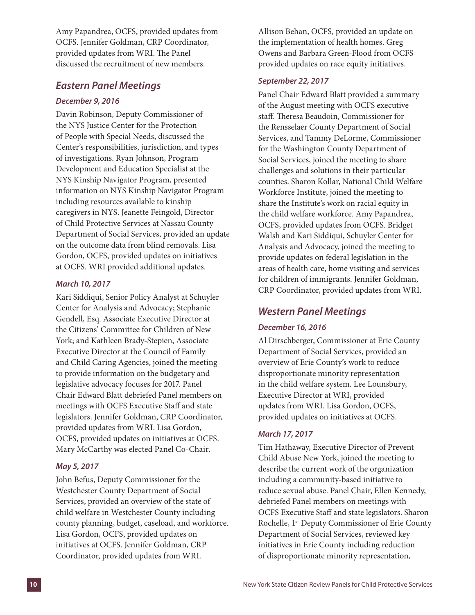Amy Papandrea, OCFS, provided updates from OCFS. Jennifer Goldman, CRP Coordinator, provided updates from WRI. The Panel discussed the recruitment of new members.

### *Eastern Panel Meetings*

#### *December 9, 2016*

Davin Robinson, Deputy Commissioner of the NYS Justice Center for the Protection of People with Special Needs, discussed the Center's responsibilities, jurisdiction, and types of investigations. Ryan Johnson, Program Development and Education Specialist at the NYS Kinship Navigator Program, presented information on NYS Kinship Navigator Program including resources available to kinship caregivers in NYS. Jeanette Feingold, Director of Child Protective Services at Nassau County Department of Social Services, provided an update on the outcome data from blind removals. Lisa Gordon, OCFS, provided updates on initiatives at OCFS. WRI provided additional updates.

#### *March 10, 2017*

Kari Siddiqui, Senior Policy Analyst at Schuyler Center for Analysis and Advocacy; Stephanie Gendell, Esq. Associate Executive Director at the Citizens' Committee for Children of New York; and Kathleen Brady-Stepien, Associate Executive Director at the Council of Family and Child Caring Agencies, joined the meeting to provide information on the budgetary and legislative advocacy focuses for 2017. Panel Chair Edward Blatt debriefed Panel members on meetings with OCFS Executive Staff and state legislators. Jennifer Goldman, CRP Coordinator, provided updates from WRI. Lisa Gordon, OCFS, provided updates on initiatives at OCFS. Mary McCarthy was elected Panel Co-Chair.

#### *May 5, 2017*

John Befus, Deputy Commissioner for the Westchester County Department of Social Services, provided an overview of the state of child welfare in Westchester County including county planning, budget, caseload, and workforce. Lisa Gordon, OCFS, provided updates on initiatives at OCFS. Jennifer Goldman, CRP Coordinator, provided updates from WRI.

Allison Behan, OCFS, provided an update on the implementation of health homes. Greg Owens and Barbara Green-Flood from OCFS provided updates on race equity initiatives.

#### *September 22, 2017*

Panel Chair Edward Blatt provided a summary of the August meeting with OCFS executive staff. Theresa Beaudoin, Commissioner for the Rensselaer County Department of Social Services, and Tammy DeLorme, Commissioner for the Washington County Department of Social Services, joined the meeting to share challenges and solutions in their particular counties. Sharon Kollar, National Child Welfare Workforce Institute, joined the meeting to share the Institute's work on racial equity in the child welfare workforce. Amy Papandrea, OCFS, provided updates from OCFS. Bridget Walsh and Kari Siddiqui, Schuyler Center for Analysis and Advocacy, joined the meeting to provide updates on federal legislation in the areas of health care, home visiting and services for children of immigrants. Jennifer Goldman, CRP Coordinator, provided updates from WRI.

### *Western Panel Meetings*

#### *December 16, 2016*

Al Dirschberger, Commissioner at Erie County Department of Social Services, provided an overview of Erie County's work to reduce disproportionate minority representation in the child welfare system. Lee Lounsbury, Executive Director at WRI, provided updates from WRI. Lisa Gordon, OCFS, provided updates on initiatives at OCFS.

#### *March 17, 2017*

Tim Hathaway, Executive Director of Prevent Child Abuse New York, joined the meeting to describe the current work of the organization including a community-based initiative to reduce sexual abuse. Panel Chair, Ellen Kennedy, debriefed Panel members on meetings with OCFS Executive Staff and state legislators. Sharon Rochelle, 1st Deputy Commissioner of Erie County Department of Social Services, reviewed key initiatives in Erie County including reduction of disproportionate minority representation,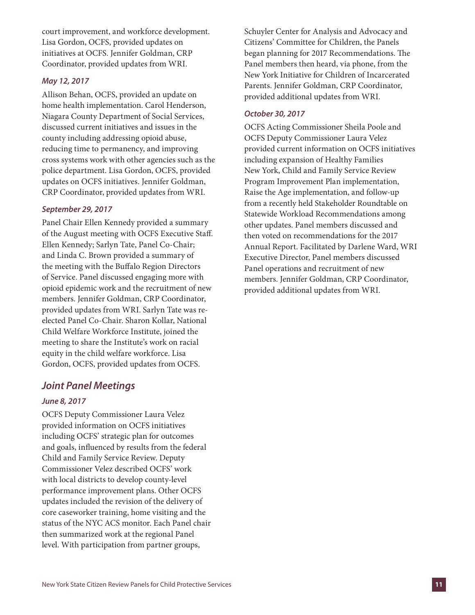court improvement, and workforce development. Lisa Gordon, OCFS, provided updates on initiatives at OCFS. Jennifer Goldman, CRP Coordinator, provided updates from WRI.

#### *May 12, 2017*

Allison Behan, OCFS, provided an update on home health implementation. Carol Henderson, Niagara County Department of Social Services, discussed current initiatives and issues in the county including addressing opioid abuse, reducing time to permanency, and improving cross systems work with other agencies such as the police department. Lisa Gordon, OCFS, provided updates on OCFS initiatives. Jennifer Goldman, CRP Coordinator, provided updates from WRI.

#### *September 29, 2017*

Panel Chair Ellen Kennedy provided a summary of the August meeting with OCFS Executive Staff. Ellen Kennedy; Sarlyn Tate, Panel Co-Chair; and Linda C. Brown provided a summary of the meeting with the Buffalo Region Directors of Service. Panel discussed engaging more with opioid epidemic work and the recruitment of new members. Jennifer Goldman, CRP Coordinator, provided updates from WRI. Sarlyn Tate was reelected Panel Co-Chair. Sharon Kollar, National Child Welfare Workforce Institute, joined the meeting to share the Institute's work on racial equity in the child welfare workforce. Lisa Gordon, OCFS, provided updates from OCFS.

#### *Joint Panel Meetings*

#### *June 8, 2017*

OCFS Deputy Commissioner Laura Velez provided information on OCFS initiatives including OCFS' strategic plan for outcomes and goals, influenced by results from the federal Child and Family Service Review. Deputy Commissioner Velez described OCFS' work with local districts to develop county-level performance improvement plans. Other OCFS updates included the revision of the delivery of core caseworker training, home visiting and the status of the NYC ACS monitor. Each Panel chair then summarized work at the regional Panel level. With participation from partner groups,

Schuyler Center for Analysis and Advocacy and Citizens' Committee for Children, the Panels began planning for 2017 Recommendations. The Panel members then heard, via phone, from the New York Initiative for Children of Incarcerated Parents. Jennifer Goldman, CRP Coordinator, provided additional updates from WRI.

#### *October 30, 2017*

OCFS Acting Commissioner Sheila Poole and OCFS Deputy Commissioner Laura Velez provided current information on OCFS initiatives including expansion of Healthy Families New York, Child and Family Service Review Program Improvement Plan implementation, Raise the Age implementation, and follow-up from a recently held Stakeholder Roundtable on Statewide Workload Recommendations among other updates. Panel members discussed and then voted on recommendations for the 2017 Annual Report. Facilitated by Darlene Ward, WRI Executive Director, Panel members discussed Panel operations and recruitment of new members. Jennifer Goldman, CRP Coordinator, provided additional updates from WRI.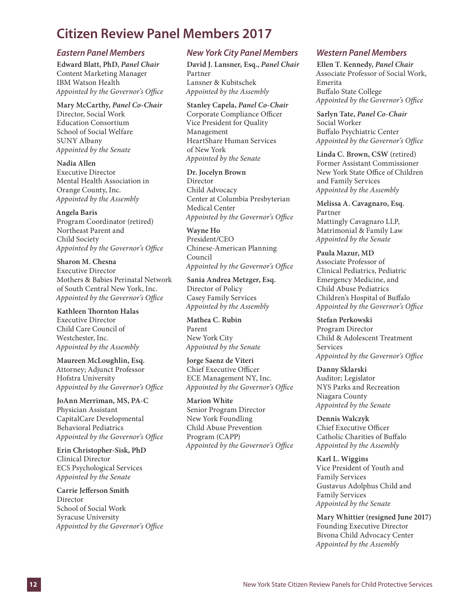# **Citizen Review Panel Members 2017**

#### *Eastern Panel Members*

**Edward Blatt, PhD,** *Panel Chair*  Content Marketing Manager IBM Watson Health *Appointed by the Governor's Office*

**Mary McCarthy,** *Panel Co-Chair* Director, Social Work Education Consortium School of Social Welfare SUNY Albany *Appointed by the Senate*

**Nadia Allen** Executive Director Mental Health Association in Orange County, Inc. *Appointed by the Assembly*

**Angela Baris** Program Coordinator (retired) Northeast Parent and Child Society *Appointed by the Governor's Office*

**Sharon M. Chesna** Executive Director Mothers & Babies Perinatal Network of South Central New York, Inc. *Appointed by the Governor's Office*

**Kathleen Thornton Halas** Executive Director Child Care Council of Westchester, Inc. *Appointed by the Assembly*

**Maureen McLoughlin, Esq.** Attorney; Adjunct Professor Hofstra University *Appointed by the Governor's Office*

**JoAnn Merriman, MS, PA-C** Physician Assistant CapitalCare Developmental Behavioral Pediatrics *Appointed by the Governor's Office*

**Erin Christopher-Sisk, PhD** Clinical Director ECS Psychological Services *Appointed by the Senate*

**Carrie Jefferson Smith** Director School of Social Work Syracuse University *Appointed by the Governor's Office*

#### *New York City Panel Members*

**David J. Lansner, Esq.,** *Panel Chair* Partner Lansner & Kubitschek *Appointed by the Assembly*

**Stanley Capela,** *Panel Co-Chair* Corporate Compliance Officer Vice President for Quality Management HeartShare Human Services of New York *Appointed by the Senate*

**Dr. Jocelyn Brown** Director Child Advocacy Center at Columbia Presbyterian Medical Center *Appointed by the Governor's Office* 

**Wayne Ho** President/CEO Chinese-American Planning Council *Appointed by the Governor's Office*

**Sania Andrea Metzger, Esq.** Director of Policy Casey Family Services *Appointed by the Assembly*

**Mathea C. Rubin** Parent New York City *Appointed by the Senate*

**Jorge Saenz de Viteri** Chief Executive Officer ECE Management NY, Inc.

**Marion White** Senior Program Director New York Foundling Child Abuse Prevention Program (CAPP) *Appointed by the Governor's Office*

*Appointed by the Governor's Office* 

#### *Western Panel Members*

**Ellen T. Kennedy,** *Panel Chair* Associate Professor of Social Work, Emerita Buffalo State College *Appointed by the Governor's Office*

**Sarlyn Tate,** *Panel Co-Chair* Social Worker Buffalo Psychiatric Center *Appointed by the Governor's Office*

**Linda C. Brown, CSW** (retired) Former Assistant Commissioner New York State Office of Children and Family Services *Appointed by the Assembly*

**Melissa A. Cavagnaro, Esq.** Partner Mattingly Cavagnaro LLP, Matrimonial & Family Law *Appointed by the Senate*

**Paula Mazur, MD** Associate Professor of Clinical Pediatrics, Pediatric Emergency Medicine, and Child Abuse Pediatrics Children's Hospital of Buffalo *Appointed by the Governor's Office*

**Stefan Perkowski** Program Director Child & Adolescent Treatment Services *Appointed by the Governor's Office*

**Danny Sklarski** Auditor; Legislator NYS Parks and Recreation Niagara County *Appointed by the Senate*

**Dennis Walczyk** Chief Executive Officer Catholic Charities of Buffalo *Appointed by the Assembly*

**Karl L. Wiggins** Vice President of Youth and Family Services Gustavus Adolphus Child and Family Services *Appointed by the Senate*

**Mary Whittier (resigned June 2017)** Founding Executive Director Bivona Child Advocacy Center *Appointed by the Assembly*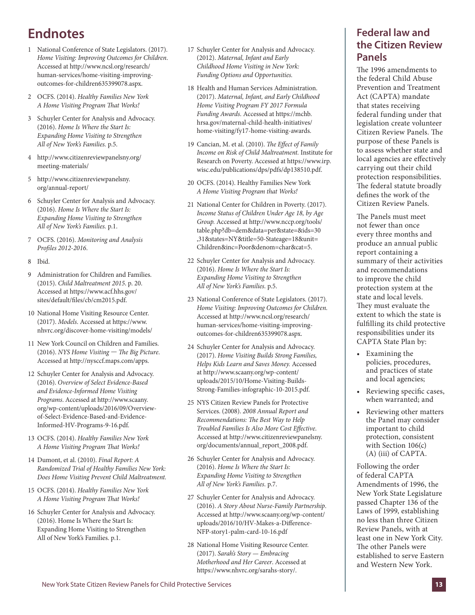# **Endnotes**

- 1 National Conference of State Legislators. (2017). *Home Visiting: Improving Outcomes for Children*. Accessed at http://www.ncsl.org/research/ human-services/home-visiting-improvingoutcomes-for-children635399078.aspx.
- 2 OCFS. (2014). *Healthy Families New York A Home Visiting Program That Works!*
- 3 Schuyler Center for Analysis and Advocacy. (2016). *Home Is Where the Start Is: Expanding Home Visiting to Strengthen All of New York's Families.* p.5.
- 4 http://www.citizenreviewpanelsny.org/ meeting-materials/
- 5 http://www.citizenreviewpanelsny. org/annual-report/
- 6 Schuyler Center for Analysis and Advocacy. (2016). *Home Is Where the Start Is: Expanding Home Visiting to Strengthen All of New York's Families.* p.1.
- 7 OCFS. (2016). *Monitoring and Analysis Profiles 2012-2016*.
- 8 Ibid.
- 9 Administration for Children and Families. (2015). *Child Maltreatment 2015*. p. 20. Accessed at https://www.acf.hhs.gov/ sites/default/files/cb/cm2015.pdf.
- 10 National Home Visiting Resource Center. (2017). *Models*. Accessed at https://www. nhvrc.org/discover-home-visiting/models/
- 11 New York Council on Children and Families. (2016). *NYS Home Visiting — The Big Picture*. Accessed at http://nysccf.maps.com/apps.
- 12 Schuyler Center for Analysis and Advocacy. (2016). *Overview of Select Evidence-Based and Evidence-Informed Home Visiting Programs*. Accessed at http://www.scaany. org/wp-content/uploads/2016/09/Overviewof-Select-Evidence-Based-and-Evidence-Informed-HV-Programs-9-16.pdf.
- 13 OCFS. (2014). *Healthy Families New York A Home Visiting Program That Works!*
- 14 Dumont, et al. (2010). *Final Report: A Randomized Trial of Healthy Families New York: Does Home Visiting Prevent Child Maltreatment.*
- 15 OCFS. (2014). *Healthy Families New York A Home Visiting Program That Works!*
- 16 Schuyler Center for Analysis and Advocacy. (2016). Home Is Where the Start Is: Expanding Home Visiting to Strengthen All of New York's Families. p.1.
- 17 Schuyler Center for Analysis and Advocacy. (2012). *Maternal, Infant and Early Childhood Home Visiting in New York: Funding Options and Opportunities.*
- 18 Health and Human Services Administration. (2017). *Maternal, Infant, and Early Childhood Home Visiting Program FY 2017 Formula Funding Awards.* Accessed at https://mchb. hrsa.gov/maternal-child-health-initiatives/ home-visiting/fy17-home-visiting-awards.
- 19 Cancian, M. et al. (2010). *The Effect of Family Income on Risk of Child Maltreatment.* Institute for Research on Poverty. Accessed at https://www.irp. wisc.edu/publications/dps/pdfs/dp138510.pdf.
- 20 OCFS. (2014). Healthy Families New York *A Home Visiting Program that Works!*
- 21 National Center for Children in Poverty. (2017). *Income Status of Children Under Age 18, by Age Group.* Accessed at http://www.nccp.org/tools/ table.php?db=dem&data=per&state=&ids=30 ,31&states=NY&title=50-Stateage=18&unit= Children&inc=Poor&denom=char&cat=5.
- 22 Schuyler Center for Analysis and Advocacy. (2016). *Home Is Where the Start Is: Expanding Home Visiting to Strengthen All of New York's Families.* p.5.
- 23 National Conference of State Legislators. (2017). *Home Visiting: Improving Outcomes for Children.* Accessed at http://www.ncsl.org/research/ human-services/home-visiting-improvingoutcomes-for-children635399078.aspx.
- 24 Schuyler Center for Analysis and Advocacy. (2017). *Home Visiting Builds Strong Families, Helps Kids Learn and Saves Money.* Accessed at http://www.scaany.org/wp-content/ uploads/2015/10/Home-Visiting-Builds-Strong-Families-infographic-10-2015.pdf.
- 25 NYS Citizen Review Panels for Protective Services. (2008). *2008 Annual Report and Recommendations: The Best Way to Help Troubled Families Is Also More Cost Effective*. Accessed at http://www.citizenreviewpanelsny. org/documents/annual\_report\_2008.pdf.
- 26 Schuyler Center for Analysis and Advocacy. (2016). *Home Is Where the Start Is: Expanding Home Visiting to Strengthen All of New York's Families.* p.7.
- 27 Schuyler Center for Analysis and Advocacy. (2016). *A Story About Nurse-Family Partnership*. Accessed at http://www.scaany.org/wp-content/ uploads/2016/10/HV-Makes-a-Difference-NFP-story1-palm-card-10-16.pdf
- 28 National Home Visiting Resource Center. (2017). *Sarah's Story — Embracing Motherhood and Her Career*. Accessed at https://www.nhvrc.org/sarahs-story/.

# **Federal law and the Citizen Review Panels**

The 1996 amendments to the federal Child Abuse Prevention and Treatment Act (CAPTA) mandate that states receiving federal funding under that legislation create volunteer Citizen Review Panels. The purpose of these Panels is to assess whether state and local agencies are effectively carrying out their child protection responsibilities. The federal statute broadly defines the work of the Citizen Review Panels.

The Panels must meet not fewer than once every three months and produce an annual public report containing a summary of their activities and recommendations to improve the child protection system at the state and local levels. They must evaluate the extent to which the state is fulfilling its child protective responsibilities under its CAPTA State Plan by:

- Examining the policies, procedures, and practices of state and local agencies;
- Reviewing specific cases, when warranted; and
- Reviewing other matters the Panel may consider important to child protection, consistent with Section 106(c) (A) (iii) of CAPTA.

Following the order of federal CAPTA Amendments of 1996, the New York State Legislature passed Chapter 136 of the Laws of 1999, establishing no less than three Citizen Review Panels, with at least one in New York City. The other Panels were established to serve Eastern and Western New York.